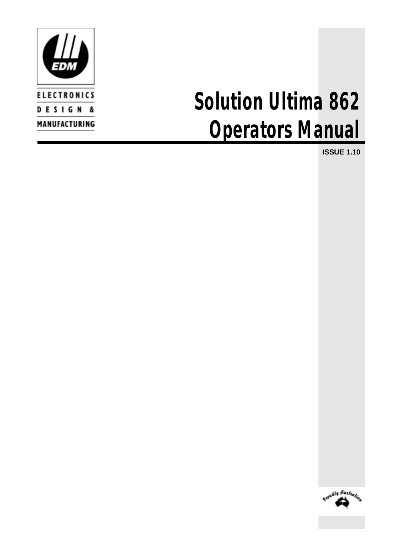

# *Solution Ultima 862 Operators Manual*

**ISSUE 1.10**

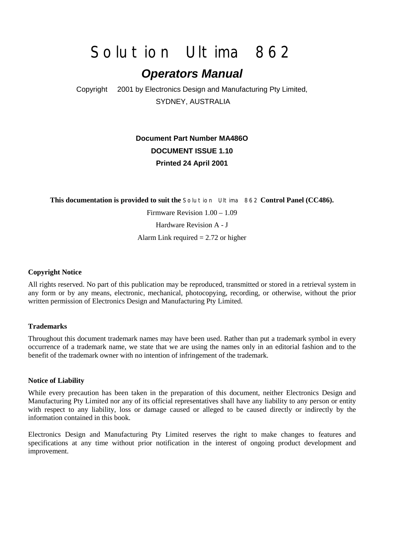## *Solution Ultima 862*

## *Operators Manual*

Copyright 2001 by Electronics Design and Manufacturing Pty Limited, SYDNEY, AUSTRALIA

## **Document Part Number MA486O DOCUMENT ISSUE 1.10 Printed 24 April 2001**

**This documentation is provided to suit the** *Solution Ultima 862* **Control Panel (CC486).**

Firmware Revision 1.00 – 1.09 Hardware Revision A - J Alarm Link required  $= 2.72$  or higher

#### **Copyright Notice**

All rights reserved. No part of this publication may be reproduced, transmitted or stored in a retrieval system in any form or by any means, electronic, mechanical, photocopying, recording, or otherwise, without the prior written permission of Electronics Design and Manufacturing Pty Limited.

#### **Trademarks**

Throughout this document trademark names may have been used. Rather than put a trademark symbol in every occurrence of a trademark name, we state that we are using the names only in an editorial fashion and to the benefit of the trademark owner with no intention of infringement of the trademark.

#### **Notice of Liability**

While every precaution has been taken in the preparation of this document, neither Electronics Design and Manufacturing Pty Limited nor any of its official representatives shall have any liability to any person or entity with respect to any liability, loss or damage caused or alleged to be caused directly or indirectly by the information contained in this book.

Electronics Design and Manufacturing Pty Limited reserves the right to make changes to features and specifications at any time without prior notification in the interest of ongoing product development and improvement.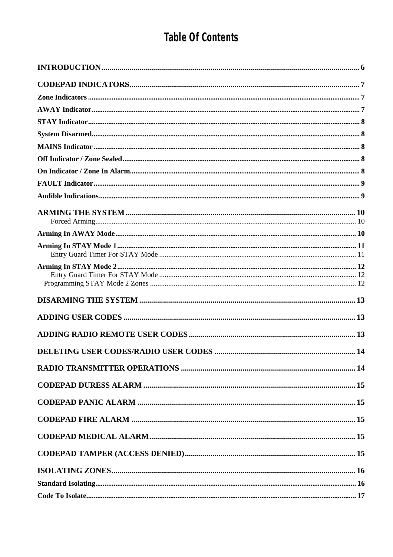## Table Of Contents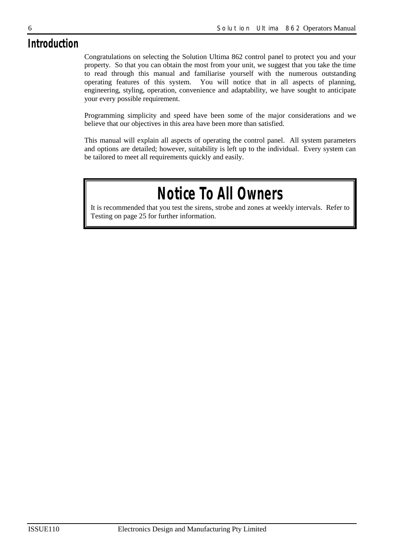## *Introduction*

Congratulations on selecting the Solution Ultima 862 control panel to protect you and your property. So that you can obtain the most from your unit, we suggest that you take the time to read through this manual and familiarise yourself with the numerous outstanding operating features of this system. You will notice that in all aspects of planning, engineering, styling, operation, convenience and adaptability, we have sought to anticipate your every possible requirement.

Programming simplicity and speed have been some of the major considerations and we believe that our objectives in this area have been more than satisfied.

This manual will explain all aspects of operating the control panel. All system parameters and options are detailed; however, suitability is left up to the individual. Every system can be tailored to meet all requirements quickly and easily.

## *Notice To All Owners*

It is recommended that you test the sirens, strobe and zones at weekly intervals. Refer to Testing on page 25 for further information.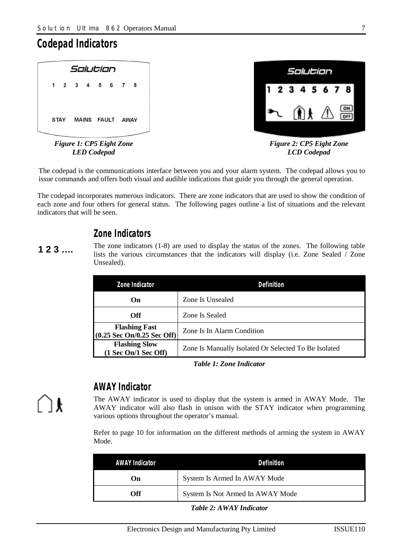## *Codepad Indicators*

| Solution                                                   | Salution                                           |
|------------------------------------------------------------|----------------------------------------------------|
| 1 2 3 4 5 6 7 8                                            | 12345678                                           |
| <b>STAY</b><br><b>FAULT</b><br><b>MAINS</b><br><b>AWAY</b> | $\sqrt{N}$ $\frac{ON}{OFF}$<br>١H<br>$\mathcal{L}$ |
|                                                            |                                                    |
| Figure 1. CP5 Fight Tone                                   | Figure 2. CP5 Fight Tone                           |

*Figure 1: CP5 Eight Zone LED Codepad* 

*Figure 2: CP5 Eight Zone LCD Codepad* 

The codepad is the communications interface between you and your alarm system. The codepad allows you to issue commands and offers both visual and audible indications that guide you through the general operation.

The codepad incorporates numerous indicators. There are zone indicators that are used to show the condition of each zone and four others for general status. The following pages outline a list of situations and the relevant indicators that will be seen.

## *Zone Indicators*

The zone indicators (1-8) are used to display the status of the zones. The following table lists the various circumstances that the indicators will display (i.e. Zone Sealed / Zone Unsealed). **1 2 3 ….** 

| Zone Indicator                                     | Definition                                           |
|----------------------------------------------------|------------------------------------------------------|
| On                                                 | Zone Is Unsealed                                     |
| Off                                                | Zone Is Sealed                                       |
| <b>Flashing Fast</b><br>(0.25 Sec On/0.25 Sec Off) | Zone Is In Alarm Condition                           |
| <b>Flashing Slow</b><br>(1 Sec On/1 Sec Off)       | Zone Is Manually Isolated Or Selected To Be Isolated |

*Table 1: Zone Indicator* 

## *AWAY Indicator*

The AWAY indicator is used to display that the system is armed in AWAY Mode. The AWAY indicator will also flash in unison with the STAY indicator when programming various options throughout the operator's manual.

Refer to page 10 for information on the different methods of arming the system in AWAY Mode.

| AWAY Indicator | Definition                       |
|----------------|----------------------------------|
| On             | System Is Armed In AWAY Mode     |
| Off            | System Is Not Armed In AWAY Mode |

*Table 2: AWAY Indicator*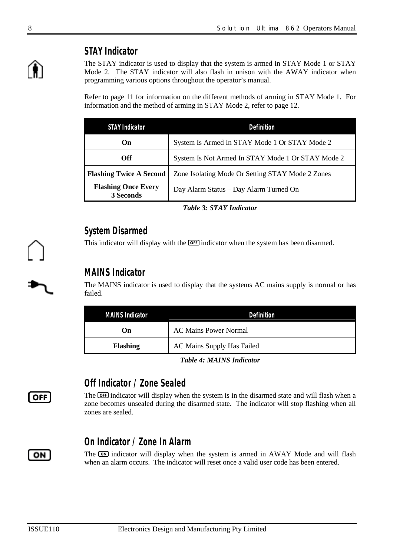## *STAY Indicator*

The STAY indicator is used to display that the system is armed in STAY Mode 1 or STAY Mode 2. The STAY indicator will also flash in unison with the AWAY indicator when programming various options throughout the operator's manual.

Refer to page 11 for information on the different methods of arming in STAY Mode 1. For information and the method of arming in STAY Mode 2, refer to page 12.

| <b>STAY Indicator</b>                   | Definition                                        |  |  |
|-----------------------------------------|---------------------------------------------------|--|--|
| On                                      | System Is Armed In STAY Mode 1 Or STAY Mode 2     |  |  |
| <b>Off</b>                              | System Is Not Armed In STAY Mode 1 Or STAY Mode 2 |  |  |
| <b>Flashing Twice A Second</b>          | Zone Isolating Mode Or Setting STAY Mode 2 Zones  |  |  |
| <b>Flashing Once Every</b><br>3 Seconds | Day Alarm Status - Day Alarm Turned On            |  |  |

*Table 3: STAY Indicator* 

## *System Disarmed*

This indicator will display with the **OFF** indicator when the system has been disarmed.

## *MAINS Indicator*

The MAINS indicator is used to display that the systems AC mains supply is normal or has failed.

| <i>MAINS Indicator</i> | Definition                   |  |
|------------------------|------------------------------|--|
| On                     | <b>AC Mains Power Normal</b> |  |
| <b>Flashing</b>        | AC Mains Supply Has Failed   |  |

#### *Table 4: MAINS Indicator*

## *Off Indicator / Zone Sealed*

The **OFF** indicator will display when the system is in the disarmed state and will flash when a zone becomes unsealed during the disarmed state. The indicator will stop flashing when all zones are sealed.

## *On Indicator / Zone In Alarm*

The **ON** indicator will display when the system is armed in AWAY Mode and will flash when an alarm occurs. The indicator will reset once a valid user code has been entered.



 $\sqrt{ }$  OFF

ON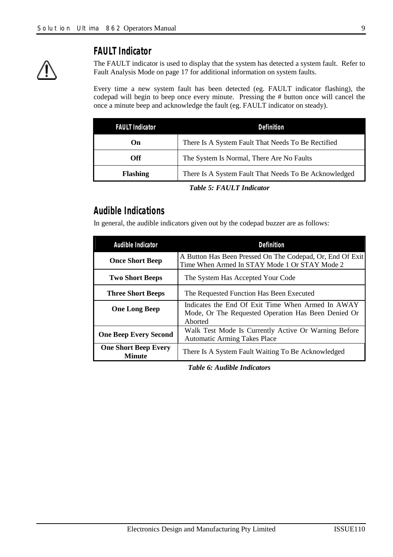

## *FAULT Indicator*

The FAULT indicator is used to display that the system has detected a system fault. Refer to Fault Analysis Mode on page 17 for additional information on system faults.

Every time a new system fault has been detected (eg. FAULT indicator flashing), the codepad will begin to beep once every minute. Pressing the # button once will cancel the once a minute beep and acknowledge the fault (eg. FAULT indicator on steady).

| <i>FAULT Indicator</i>                                                   | Definition                                         |  |  |
|--------------------------------------------------------------------------|----------------------------------------------------|--|--|
| $\mathbf{On}$                                                            | There Is A System Fault That Needs To Be Rectified |  |  |
| The System Is Normal, There Are No Faults<br>Off.                        |                                                    |  |  |
| There Is A System Fault That Needs To Be Acknowledged<br><b>Flashing</b> |                                                    |  |  |

#### *Table 5: FAULT Indicator*

## *Audible Indications*

In general, the audible indicators given out by the codepad buzzer are as follows:

| Audible Indicator                                                                                                           | Definition                                                                                                          |  |  |
|-----------------------------------------------------------------------------------------------------------------------------|---------------------------------------------------------------------------------------------------------------------|--|--|
| <b>Once Short Beep</b>                                                                                                      | A Button Has Been Pressed On The Codepad, Or, End Of Exit<br>Time When Armed In STAY Mode 1 Or STAY Mode 2          |  |  |
| <b>Two Short Beeps</b>                                                                                                      | The System Has Accepted Your Code                                                                                   |  |  |
| <b>Three Short Beeps</b>                                                                                                    | The Requested Function Has Been Executed                                                                            |  |  |
| <b>One Long Beep</b>                                                                                                        | Indicates the End Of Exit Time When Armed In AWAY<br>Mode, Or The Requested Operation Has Been Denied Or<br>Aborted |  |  |
| Walk Test Mode Is Currently Active Or Warning Before<br><b>One Beep Every Second</b><br><b>Automatic Arming Takes Place</b> |                                                                                                                     |  |  |
| <b>One Short Beep Every</b><br><b>Minute</b>                                                                                | There Is A System Fault Waiting To Be Acknowledged                                                                  |  |  |

*Table 6: Audible Indicators*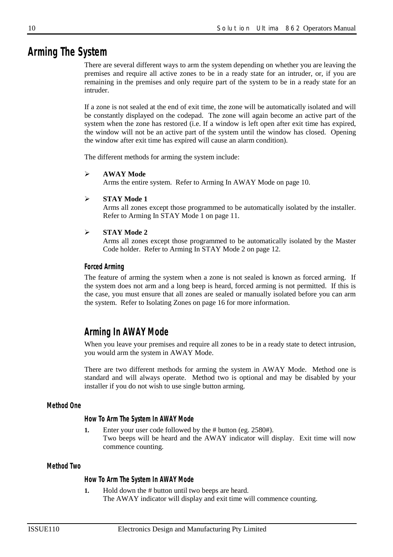## *Arming The System*

There are several different ways to arm the system depending on whether you are leaving the premises and require all active zones to be in a ready state for an intruder, or, if you are remaining in the premises and only require part of the system to be in a ready state for an intruder.

If a zone is not sealed at the end of exit time, the zone will be automatically isolated and will be constantly displayed on the codepad. The zone will again become an active part of the system when the zone has restored (i.e. If a window is left open after exit time has expired, the window will not be an active part of the system until the window has closed. Opening the window after exit time has expired will cause an alarm condition).

The different methods for arming the system include:

#### **AWAY Mode**

Arms the entire system. Refer to Arming In AWAY Mode on page 10.

#### **STAY Mode 1**

Arms all zones except those programmed to be automatically isolated by the installer. Refer to Arming In STAY Mode 1 on page 11.

#### **STAY Mode 2**

Arms all zones except those programmed to be automatically isolated by the Master Code holder. Refer to Arming In STAY Mode 2 on page 12.

#### *Forced Arming*

The feature of arming the system when a zone is not sealed is known as forced arming. If the system does not arm and a long beep is heard, forced arming is not permitted. If this is the case, you must ensure that all zones are sealed or manually isolated before you can arm the system. Refer to Isolating Zones on page 16 for more information.

## *Arming In AWAY Mode*

When you leave your premises and require all zones to be in a ready state to detect intrusion, you would arm the system in AWAY Mode.

There are two different methods for arming the system in AWAY Mode. Method one is standard and will always operate. Method two is optional and may be disabled by your installer if you do not wish to use single button arming.

#### *Method One*

*How To Arm The System In AWAY Mode* 

**1.** Enter your user code followed by the # button (eg. 2580#). Two beeps will be heard and the AWAY indicator will display. Exit time will now commence counting.

#### *Method Two*

#### *How To Arm The System In AWAY Mode*

**1.** Hold down the # button until two beeps are heard. The AWAY indicator will display and exit time will commence counting.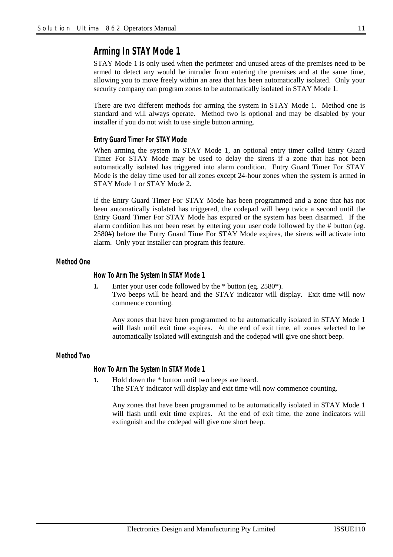## *Arming In STAY Mode 1*

STAY Mode 1 is only used when the perimeter and unused areas of the premises need to be armed to detect any would be intruder from entering the premises and at the same time, allowing you to move freely within an area that has been automatically isolated. Only your security company can program zones to be automatically isolated in STAY Mode 1.

There are two different methods for arming the system in STAY Mode 1. Method one is standard and will always operate. Method two is optional and may be disabled by your installer if you do not wish to use single button arming.

#### *Entry Guard Timer For STAY Mode*

When arming the system in STAY Mode 1, an optional entry timer called Entry Guard Timer For STAY Mode may be used to delay the sirens if a zone that has not been automatically isolated has triggered into alarm condition. Entry Guard Timer For STAY Mode is the delay time used for all zones except 24-hour zones when the system is armed in STAY Mode 1 or STAY Mode 2.

If the Entry Guard Timer For STAY Mode has been programmed and a zone that has not been automatically isolated has triggered, the codepad will beep twice a second until the Entry Guard Timer For STAY Mode has expired or the system has been disarmed. If the alarm condition has not been reset by entering your user code followed by the # button (eg. 2580#) before the Entry Guard Time For STAY Mode expires, the sirens will activate into alarm. Only your installer can program this feature.

*Method One* 

#### *How To Arm The System In STAY Mode 1*

**1.** Enter your user code followed by the \* button (eg. 2580\*). Two beeps will be heard and the STAY indicator will display. Exit time will now commence counting.

Any zones that have been programmed to be automatically isolated in STAY Mode 1 will flash until exit time expires. At the end of exit time, all zones selected to be automatically isolated will extinguish and the codepad will give one short beep.

## *Method Two*

*How To Arm The System In STAY Mode 1* 

**1.** Hold down the \* button until two beeps are heard.

The STAY indicator will display and exit time will now commence counting.

Any zones that have been programmed to be automatically isolated in STAY Mode 1 will flash until exit time expires. At the end of exit time, the zone indicators will extinguish and the codepad will give one short beep.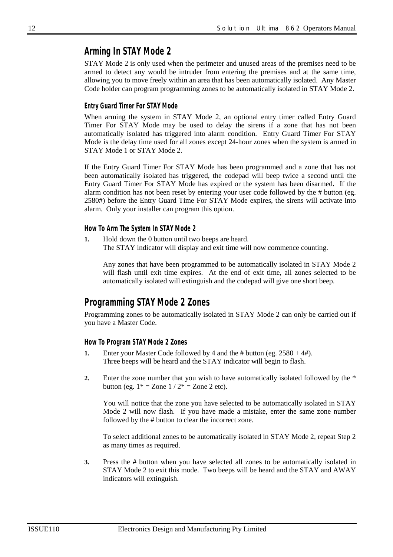## *Arming In STAY Mode 2*

STAY Mode 2 is only used when the perimeter and unused areas of the premises need to be armed to detect any would be intruder from entering the premises and at the same time, allowing you to move freely within an area that has been automatically isolated. Any Master Code holder can program programming zones to be automatically isolated in STAY Mode 2.

#### *Entry Guard Timer For STAY Mode*

When arming the system in STAY Mode 2, an optional entry timer called Entry Guard Timer For STAY Mode may be used to delay the sirens if a zone that has not been automatically isolated has triggered into alarm condition. Entry Guard Timer For STAY Mode is the delay time used for all zones except 24-hour zones when the system is armed in STAY Mode 1 or STAY Mode 2.

If the Entry Guard Timer For STAY Mode has been programmed and a zone that has not been automatically isolated has triggered, the codepad will beep twice a second until the Entry Guard Timer For STAY Mode has expired or the system has been disarmed. If the alarm condition has not been reset by entering your user code followed by the # button (eg. 2580#) before the Entry Guard Time For STAY Mode expires, the sirens will activate into alarm. Only your installer can program this option.

#### *How To Arm The System In STAY Mode 2*

**1.** Hold down the 0 button until two beeps are heard. The STAY indicator will display and exit time will now commence counting.

Any zones that have been programmed to be automatically isolated in STAY Mode 2 will flash until exit time expires. At the end of exit time, all zones selected to be automatically isolated will extinguish and the codepad will give one short beep.

## *Programming STAY Mode 2 Zones*

Programming zones to be automatically isolated in STAY Mode 2 can only be carried out if you have a Master Code.

#### *How To Program STAY Mode 2 Zones*

- **1.** Enter your Master Code followed by 4 and the # button (eg.  $2580 + 4$ #). Three beeps will be heard and the STAY indicator will begin to flash.
- **2.** Enter the zone number that you wish to have automatically isolated followed by the \* button (eg.  $1* =$  Zone  $1 / 2* =$  Zone 2 etc).

You will notice that the zone you have selected to be automatically isolated in STAY Mode 2 will now flash. If you have made a mistake, enter the same zone number followed by the # button to clear the incorrect zone.

To select additional zones to be automatically isolated in STAY Mode 2, repeat Step 2 as many times as required.

**3.** Press the # button when you have selected all zones to be automatically isolated in STAY Mode 2 to exit this mode. Two beeps will be heard and the STAY and AWAY indicators will extinguish.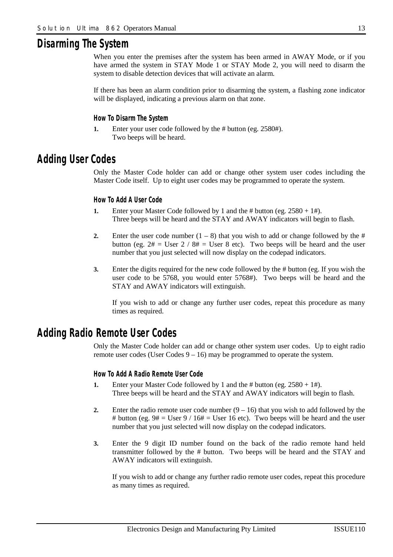## *Disarming The System*

When you enter the premises after the system has been armed in AWAY Mode, or if you have armed the system in STAY Mode 1 or STAY Mode 2, you will need to disarm the system to disable detection devices that will activate an alarm.

If there has been an alarm condition prior to disarming the system, a flashing zone indicator will be displayed, indicating a previous alarm on that zone.

#### *How To Disarm The System*

**1.** Enter your user code followed by the # button (eg. 2580#). Two beeps will be heard.

## *Adding User Codes*

Only the Master Code holder can add or change other system user codes including the Master Code itself. Up to eight user codes may be programmed to operate the system.

#### *How To Add A User Code*

- **1.** Enter your Master Code followed by 1 and the # button (eg. 2580 + 1#). Three beeps will be heard and the STAY and AWAY indicators will begin to flash.
- **2.** Enter the user code number  $(1 8)$  that you wish to add or change followed by the # button (eg.  $2# =$  User  $2 / 8# =$  User 8 etc). Two beeps will be heard and the user number that you just selected will now display on the codepad indicators.
- **3.** Enter the digits required for the new code followed by the # button (eg. If you wish the user code to be 5768, you would enter 5768#). Two beeps will be heard and the STAY and AWAY indicators will extinguish.

If you wish to add or change any further user codes, repeat this procedure as many times as required.

## *Adding Radio Remote User Codes*

Only the Master Code holder can add or change other system user codes. Up to eight radio remote user codes (User Codes  $9 - 16$ ) may be programmed to operate the system.

#### *How To Add A Radio Remote User Code*

- **1.** Enter your Master Code followed by 1 and the # button (eg. 2580 + 1#). Three beeps will be heard and the STAY and AWAY indicators will begin to flash.
- **2.** Enter the radio remote user code number  $(9 16)$  that you wish to add followed by the # button (eg.  $9# =$  User  $9 / 16# =$  User 16 etc). Two beeps will be heard and the user number that you just selected will now display on the codepad indicators.
- **3.** Enter the 9 digit ID number found on the back of the radio remote hand held transmitter followed by the # button. Two beeps will be heard and the STAY and AWAY indicators will extinguish.

If you wish to add or change any further radio remote user codes, repeat this procedure as many times as required.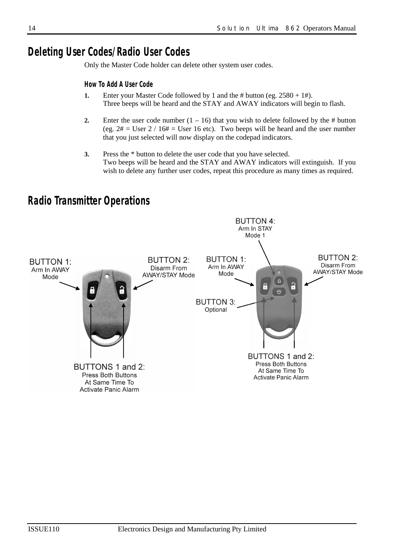## *Deleting User Codes/Radio User Codes*

Only the Master Code holder can delete other system user codes.

## *How To Add A User Code*

- **1.** Enter your Master Code followed by 1 and the # button (eg. 2580 + 1#). Three beeps will be heard and the STAY and AWAY indicators will begin to flash.
- **2.** Enter the user code number  $(1 16)$  that you wish to delete followed by the # button (eg.  $2# =$  User  $2 / 16# =$  User 16 etc). Two beeps will be heard and the user number that you just selected will now display on the codepad indicators.
- **3.** Press the \* button to delete the user code that you have selected. Two beeps will be heard and the STAY and AWAY indicators will extinguish. If you wish to delete any further user codes, repeat this procedure as many times as required.



## *Radio Transmitter Operations*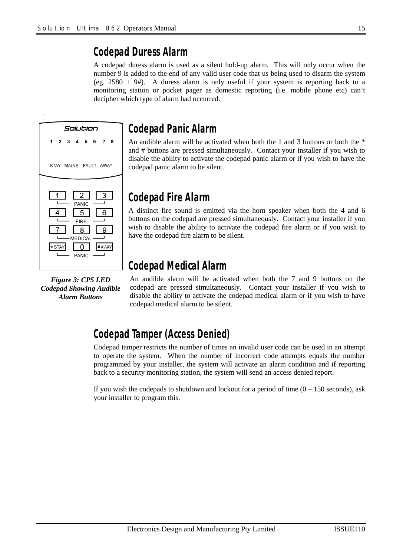## *Codepad Duress Alarm*

A codepad duress alarm is used as a silent hold-up alarm. This will only occur when the number 9 is added to the end of any valid user code that us being used to disarm the system (eg. 2580 + 9#). A duress alarm is only useful if your system is reporting back to a monitoring station or pocket pager as domestic reporting (i.e. mobile phone etc) can't decipher which type of alarm had occurred.



*Figure 3: CP5 LED Codepad Showing Audible Alarm Buttons* 

## *Codepad Panic Alarm*

An audible alarm will be activated when both the 1 and 3 buttons or both the  $*$ and # buttons are pressed simultaneously. Contact your installer if you wish to disable the ability to activate the codepad panic alarm or if you wish to have the codepad panic alarm to be silent.

## *Codepad Fire Alarm*

A distinct fire sound is emitted via the horn speaker when both the 4 and 6 buttons on the codepad are pressed simultaneously. Contact your installer if you wish to disable the ability to activate the codepad fire alarm or if you wish to have the codepad fire alarm to be silent.

## *Codepad Medical Alarm*

An audible alarm will be activated when both the 7 and 9 buttons on the codepad are pressed simultaneously. Contact your installer if you wish to disable the ability to activate the codepad medical alarm or if you wish to have codepad medical alarm to be silent.

## *Codepad Tamper (Access Denied)*

Codepad tamper restricts the number of times an invalid user code can be used in an attempt to operate the system. When the number of incorrect code attempts equals the number programmed by your installer, the system will activate an alarm condition and if reporting back to a security monitoring station, the system will send an access denied report.

If you wish the codepads to shutdown and lockout for a period of time  $(0 - 150$  seconds), ask your installer to program this.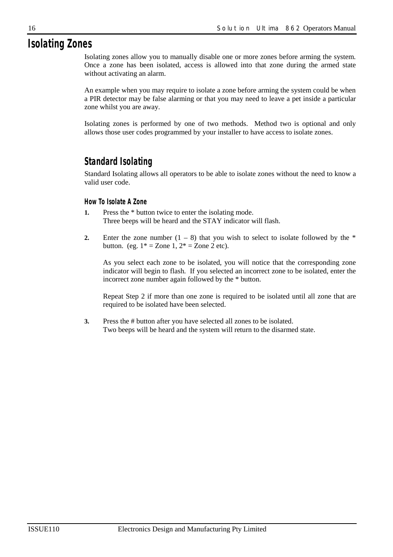## *Isolating Zones*

Isolating zones allow you to manually disable one or more zones before arming the system. Once a zone has been isolated, access is allowed into that zone during the armed state without activating an alarm.

An example when you may require to isolate a zone before arming the system could be when a PIR detector may be false alarming or that you may need to leave a pet inside a particular zone whilst you are away.

Isolating zones is performed by one of two methods. Method two is optional and only allows those user codes programmed by your installer to have access to isolate zones.

## *Standard Isolating*

Standard Isolating allows all operators to be able to isolate zones without the need to know a valid user code.

## *How To Isolate A Zone*

- **1.** Press the \* button twice to enter the isolating mode. Three beeps will be heard and the STAY indicator will flash.
- **2.** Enter the zone number  $(1 8)$  that you wish to select to isolate followed by the  $*$ button. (eg.  $1* = \text{Zone } 1, 2* = \text{Zone } 2 \text{ etc.}$ ).

As you select each zone to be isolated, you will notice that the corresponding zone indicator will begin to flash. If you selected an incorrect zone to be isolated, enter the incorrect zone number again followed by the \* button.

Repeat Step 2 if more than one zone is required to be isolated until all zone that are required to be isolated have been selected.

**3.** Press the # button after you have selected all zones to be isolated. Two beeps will be heard and the system will return to the disarmed state.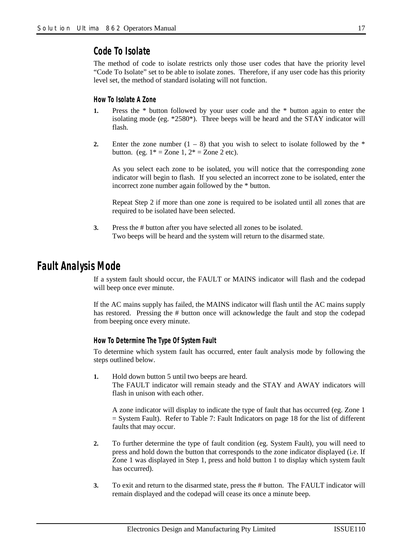## *Code To Isolate*

The method of code to isolate restricts only those user codes that have the priority level "Code To Isolate" set to be able to isolate zones. Therefore, if any user code has this priority level set, the method of standard isolating will not function.

#### *How To Isolate A Zone*

- **1.** Press the \* button followed by your user code and the \* button again to enter the isolating mode (eg. \*2580\*). Three beeps will be heard and the STAY indicator will flash.
- **2.** Enter the zone number  $(1 8)$  that you wish to select to isolate followed by the \* button. (eg.  $1* = \text{Zone } 1, 2* = \text{Zone } 2 \text{ etc.}$ ).

As you select each zone to be isolated, you will notice that the corresponding zone indicator will begin to flash. If you selected an incorrect zone to be isolated, enter the incorrect zone number again followed by the \* button.

Repeat Step 2 if more than one zone is required to be isolated until all zones that are required to be isolated have been selected.

**3.** Press the # button after you have selected all zones to be isolated. Two beeps will be heard and the system will return to the disarmed state.

## *Fault Analysis Mode*

If a system fault should occur, the FAULT or MAINS indicator will flash and the codepad will beep once ever minute.

If the AC mains supply has failed, the MAINS indicator will flash until the AC mains supply has restored. Pressing the # button once will acknowledge the fault and stop the codepad from beeping once every minute.

#### *How To Determine The Type Of System Fault*

To determine which system fault has occurred, enter fault analysis mode by following the steps outlined below.

**1.** Hold down button 5 until two beeps are heard. The FAULT indicator will remain steady and the STAY and AWAY indicators will flash in unison with each other.

A zone indicator will display to indicate the type of fault that has occurred (eg. Zone 1 = System Fault). Refer to Table 7: Fault Indicators on page 18 for the list of different faults that may occur.

- **2.** To further determine the type of fault condition (eg. System Fault), you will need to press and hold down the button that corresponds to the zone indicator displayed (i.e. If Zone 1 was displayed in Step 1, press and hold button 1 to display which system fault has occurred).
- **3.** To exit and return to the disarmed state, press the # button. The FAULT indicator will remain displayed and the codepad will cease its once a minute beep.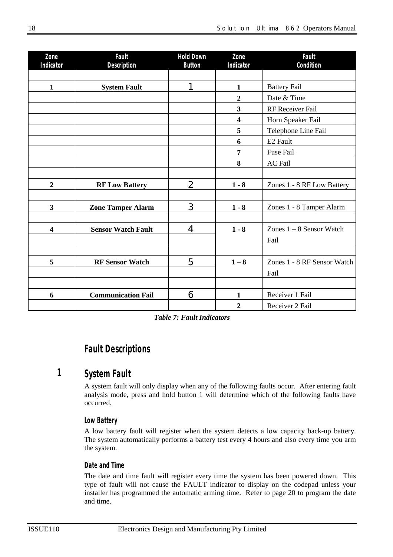| Zone                    | Fault                     | <b>Hold Down</b> | Zone                    | Fault                       |
|-------------------------|---------------------------|------------------|-------------------------|-----------------------------|
| Indicator               | Description               | <b>Button</b>    | Indicator               | Condition                   |
|                         |                           |                  |                         |                             |
| $\mathbf{1}$            | <b>System Fault</b>       | 1                | $\mathbf{1}$            | <b>Battery Fail</b>         |
|                         |                           |                  | $\overline{2}$          | Date & Time                 |
|                         |                           |                  | 3                       | RF Receiver Fail            |
|                         |                           |                  | $\overline{\mathbf{4}}$ | Horn Speaker Fail           |
|                         |                           |                  | 5                       | Telephone Line Fail         |
|                         |                           |                  | 6                       | E <sub>2</sub> Fault        |
|                         |                           |                  | 7                       | <b>Fuse Fail</b>            |
|                         |                           |                  | 8                       | <b>AC</b> Fail              |
|                         |                           |                  |                         |                             |
| $\boldsymbol{2}$        | <b>RF Low Battery</b>     | $\overline{2}$   | $1 - 8$                 | Zones 1 - 8 RF Low Battery  |
|                         |                           |                  |                         |                             |
| $\overline{\mathbf{3}}$ | <b>Zone Tamper Alarm</b>  | 3                | $1 - 8$                 | Zones 1 - 8 Tamper Alarm    |
|                         |                           |                  |                         |                             |
| $\overline{\mathbf{4}}$ | <b>Sensor Watch Fault</b> | 4                | $1 - 8$                 | Zones $1 - 8$ Sensor Watch  |
|                         |                           |                  |                         | Fail                        |
|                         |                           |                  |                         |                             |
| 5                       | <b>RF Sensor Watch</b>    | 5                | $1 - 8$                 | Zones 1 - 8 RF Sensor Watch |
|                         |                           |                  |                         | Fail                        |
|                         |                           |                  |                         |                             |
| 6                       | <b>Communication Fail</b> | 6                | $\mathbf{1}$            | Receiver 1 Fail             |
|                         |                           |                  | $\overline{2}$          | Receiver 2 Fail             |

*Table 7: Fault Indicators* 

## *Fault Descriptions*

#### *System Fault 1*

A system fault will only display when any of the following faults occur. After entering fault analysis mode, press and hold button 1 will determine which of the following faults have occurred.

## *Low Battery*

A low battery fault will register when the system detects a low capacity back-up battery. The system automatically performs a battery test every 4 hours and also every time you arm the system.

## *Date and Time*

The date and time fault will register every time the system has been powered down. This type of fault will not cause the FAULT indicator to display on the codepad unless your installer has programmed the automatic arming time. Refer to page 20 to program the date and time.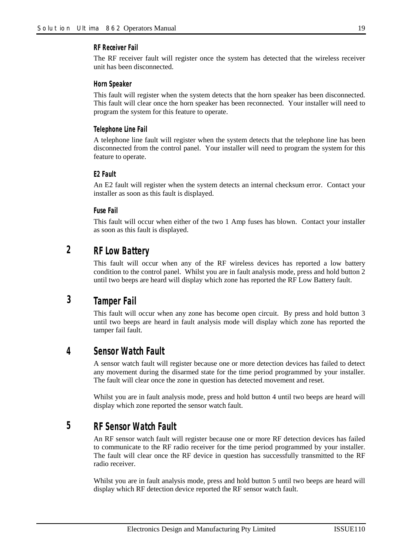#### *RF Receiver Fail*

The RF receiver fault will register once the system has detected that the wireless receiver unit has been disconnected.

#### *Horn Speaker*

This fault will register when the system detects that the horn speaker has been disconnected. This fault will clear once the horn speaker has been reconnected. Your installer will need to program the system for this feature to operate.

#### *Telephone Line Fail*

A telephone line fault will register when the system detects that the telephone line has been disconnected from the control panel. Your installer will need to program the system for this feature to operate.

#### *E2 Fault*

An E2 fault will register when the system detects an internal checksum error. Contact your installer as soon as this fault is displayed.

#### *Fuse Fail*

This fault will occur when either of the two 1 Amp fuses has blown. Contact your installer as soon as this fault is displayed.

#### *RF Low Battery 2*

This fault will occur when any of the RF wireless devices has reported a low battery condition to the control panel. Whilst you are in fault analysis mode, press and hold button 2 until two beeps are heard will display which zone has reported the RF Low Battery fault.

#### *Tamper Fail 3*

This fault will occur when any zone has become open circuit. By press and hold button 3 until two beeps are heard in fault analysis mode will display which zone has reported the tamper fail fault.

#### *Sensor Watch Fault 4*

A sensor watch fault will register because one or more detection devices has failed to detect any movement during the disarmed state for the time period programmed by your installer. The fault will clear once the zone in question has detected movement and reset.

Whilst you are in fault analysis mode, press and hold button 4 until two beeps are heard will display which zone reported the sensor watch fault.

#### *RF Sensor Watch Fault 5*

An RF sensor watch fault will register because one or more RF detection devices has failed to communicate to the RF radio receiver for the time period programmed by your installer. The fault will clear once the RF device in question has successfully transmitted to the RF radio receiver.

Whilst you are in fault analysis mode, press and hold button 5 until two beeps are heard will display which RF detection device reported the RF sensor watch fault.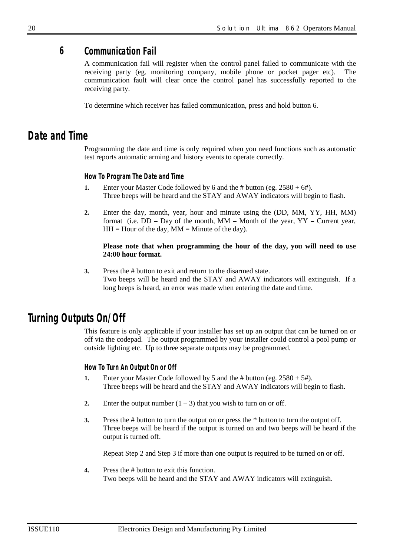#### *Communication Fail 6*

A communication fail will register when the control panel failed to communicate with the receiving party (eg. monitoring company, mobile phone or pocket pager etc). The communication fault will clear once the control panel has successfully reported to the receiving party.

To determine which receiver has failed communication, press and hold button 6.

## *Date and Time*

Programming the date and time is only required when you need functions such as automatic test reports automatic arming and history events to operate correctly.

#### *How To Program The Date and Time*

- **1.** Enter your Master Code followed by 6 and the # button (eg.  $2580 + 6$ #). Three beeps will be heard and the STAY and AWAY indicators will begin to flash.
- **2.** Enter the day, month, year, hour and minute using the (DD, MM, YY, HH, MM) format (i.e.  $DD = Day$  of the month,  $MM = Month$  of the year,  $YY = Current$  year,  $HH =$  Hour of the day,  $MM =$  Minute of the day).

#### **Please note that when programming the hour of the day, you will need to use 24:00 hour format.**

**3.** Press the # button to exit and return to the disarmed state. Two beeps will be heard and the STAY and AWAY indicators will extinguish. If a long beeps is heard, an error was made when entering the date and time.

## *Turning Outputs On/Off*

This feature is only applicable if your installer has set up an output that can be turned on or off via the codepad. The output programmed by your installer could control a pool pump or outside lighting etc. Up to three separate outputs may be programmed.

## *How To Turn An Output On or Off*

- **1.** Enter your Master Code followed by 5 and the # button (eg. 2580 + 5#). Three beeps will be heard and the STAY and AWAY indicators will begin to flash.
- **2.** Enter the output number  $(1 3)$  that you wish to turn on or off.
- **3.** Press the # button to turn the output on or press the \* button to turn the output off. Three beeps will be heard if the output is turned on and two beeps will be heard if the output is turned off.

Repeat Step 2 and Step 3 if more than one output is required to be turned on or off.

**4.** Press the # button to exit this function. Two beeps will be heard and the STAY and AWAY indicators will extinguish.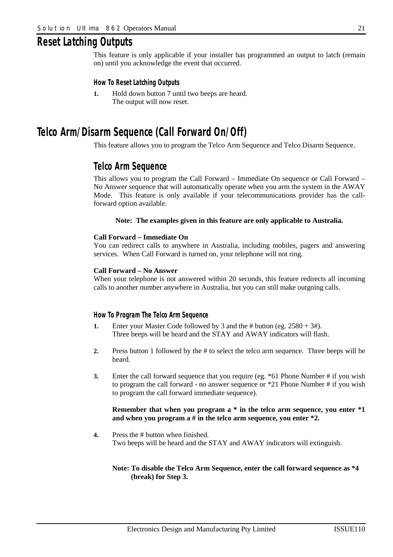## *Reset Latching Outputs*

This feature is only applicable if your installer has programmed an output to latch (remain on) until you acknowledge the event that occurred.

#### *How To Reset Latching Outputs*

**1.** Hold down button 7 until two beeps are heard. The output will now reset.

## *Telco Arm/Disarm Sequence (Call Forward On/Off)*

This feature allows you to program the Telco Arm Sequence and Telco Disarm Sequence.

## *Telco Arm Sequence*

This allows you to program the Call Forward – Immediate On sequence or Call Forward – No Answer sequence that will automatically operate when you arm the system in the AWAY Mode. This feature is only available if your telecommunications provider has the callforward option available.

#### **Note: The examples given in this feature are only applicable to Australia.**

#### **Call Forward – Immediate On**

You can redirect calls to anywhere in Australia, including mobiles, pagers and answering services. When Call Forward is turned on, your telephone will not ring.

#### **Call Forward – No Answer**

When your telephone is not answered within 20 seconds, this feature redirects all incoming calls to another number anywhere in Australia, but you can still make outgoing calls.

#### *How To Program The Telco Arm Sequence*

- **1.** Enter your Master Code followed by 3 and the # button (eg. 2580 + 3#). Three beeps will be heard and the STAY and AWAY indicators will flash.
- **2.** Press button 1 followed by the # to select the telco arm sequence. Three beeps will be heard.
- **3.** Enter the call forward sequence that you require (eg. \*61 Phone Number # if you wish to program the call forward - no answer sequence or \*21 Phone Number # if you wish to program the call forward immediate sequence).

#### **Remember that when you program a \* in the telco arm sequence, you enter \*1 and when you program a # in the telco arm sequence, you enter \*2.**

**4.** Press the # button when finished. Two beeps will be heard and the STAY and AWAY indicators will extinguish.

#### **Note: To disable the Telco Arm Sequence, enter the call forward sequence as \*4 (break) for Step 3.**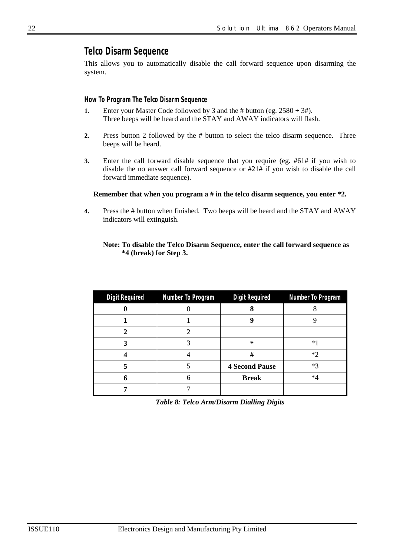## *Telco Disarm Sequence*

This allows you to automatically disable the call forward sequence upon disarming the system.

#### *How To Program The Telco Disarm Sequence*

- **1.** Enter your Master Code followed by 3 and the # button (eg.  $2580 + 3$ #). Three beeps will be heard and the STAY and AWAY indicators will flash.
- **2.** Press button 2 followed by the # button to select the telco disarm sequence. Three beeps will be heard.
- **3.** Enter the call forward disable sequence that you require (eg. #61# if you wish to disable the no answer call forward sequence or #21# if you wish to disable the call forward immediate sequence).

#### **Remember that when you program a # in the telco disarm sequence, you enter \*2.**

**4.** Press the # button when finished. Two beeps will be heard and the STAY and AWAY indicators will extinguish.

#### **Note: To disable the Telco Disarm Sequence, enter the call forward sequence as \*4 (break) for Step 3.**

| <b>Digit Required</b> | <b>Number To Program</b> | <b>Digit Required</b> | Number To Program |
|-----------------------|--------------------------|-----------------------|-------------------|
|                       |                          |                       |                   |
|                       |                          | u                     |                   |
|                       |                          |                       |                   |
|                       |                          | $\star$               | *.                |
|                       |                          | #                     | *つ                |
|                       |                          | <b>4 Second Pause</b> | $*3$              |
|                       | 6                        | <b>Break</b>          | $*4$              |
|                       |                          |                       |                   |

*Table 8: Telco Arm/Disarm Dialling Digits*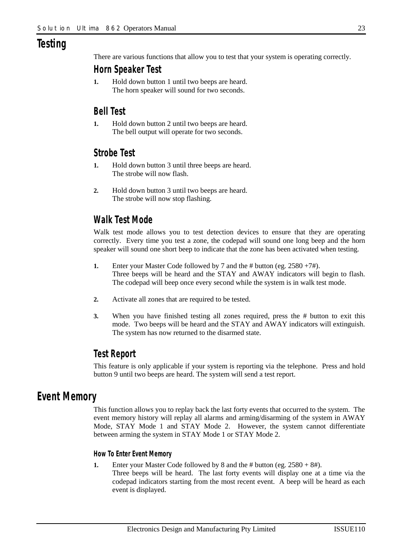## *Testing*

There are various functions that allow you to test that your system is operating correctly.

## *Horn Speaker Test*

**1.** Hold down button 1 until two beeps are heard. The horn speaker will sound for two seconds.

## *Bell Test*

**1.** Hold down button 2 until two beeps are heard. The bell output will operate for two seconds.

## *Strobe Test*

- **1.** Hold down button 3 until three beeps are heard. The strobe will now flash.
- **2.** Hold down button 3 until two beeps are heard. The strobe will now stop flashing.

## *Walk Test Mode*

Walk test mode allows you to test detection devices to ensure that they are operating correctly. Every time you test a zone, the codepad will sound one long beep and the horn speaker will sound one short beep to indicate that the zone has been activated when testing.

- **1.** Enter your Master Code followed by 7 and the # button (eg. 2580 +7#). Three beeps will be heard and the STAY and AWAY indicators will begin to flash. The codepad will beep once every second while the system is in walk test mode.
- **2.** Activate all zones that are required to be tested.
- **3.** When you have finished testing all zones required, press the # button to exit this mode. Two beeps will be heard and the STAY and AWAY indicators will extinguish. The system has now returned to the disarmed state.

## *Test Report*

This feature is only applicable if your system is reporting via the telephone. Press and hold button 9 until two beeps are heard. The system will send a test report.

## *Event Memory*

This function allows you to replay back the last forty events that occurred to the system. The event memory history will replay all alarms and arming/disarming of the system in AWAY Mode, STAY Mode 1 and STAY Mode 2. However, the system cannot differentiate between arming the system in STAY Mode 1 or STAY Mode 2.

## *How To Enter Event Memory*

- **1.** Enter your Master Code followed by 8 and the # button (eg.  $2580 + 8$ #).
	- Three beeps will be heard. The last forty events will display one at a time via the codepad indicators starting from the most recent event. A beep will be heard as each event is displayed.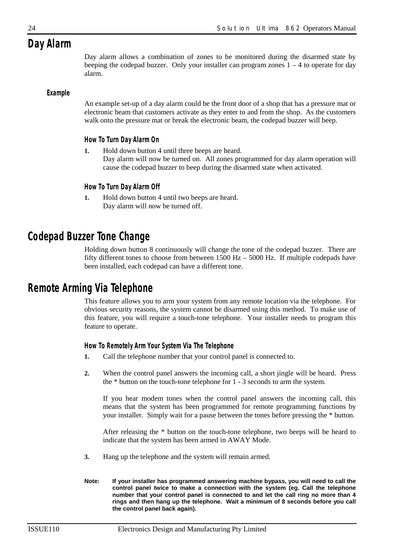## *Day Alarm*

Day alarm allows a combination of zones to be monitored during the disarmed state by beeping the codepad buzzer. Only your installer can program zones  $1 - 4$  to operate for day alarm.

## *Example*

An example set-up of a day alarm could be the front door of a shop that has a pressure mat or electronic beam that customers activate as they enter to and from the shop. As the customers walk onto the pressure mat or break the electronic beam, the codepad buzzer will beep.

## *How To Turn Day Alarm On*

**1.** Hold down button 4 until three beeps are heard. Day alarm will now be turned on. All zones programmed for day alarm operation will cause the codepad buzzer to beep during the disarmed state when activated.

## *How To Turn Day Alarm Off*

**1.** Hold down button 4 until two beeps are heard. Day alarm will now be turned off.

## *Codepad Buzzer Tone Change*

Holding down button 8 continuously will change the tone of the codepad buzzer. There are fifty different tones to choose from between 1500 Hz – 5000 Hz. If multiple codepads have been installed, each codepad can have a different tone.

## *Remote Arming Via Telephone*

This feature allows you to arm your system from any remote location via the telephone. For obvious security reasons, the system cannot be disarmed using this method. To make use of this feature, you will require a touch-tone telephone. Your installer needs to program this feature to operate.

## *How To Remotely Arm Your System Via The Telephone*

- **1.** Call the telephone number that your control panel is connected to.
- **2.** When the control panel answers the incoming call, a short jingle will be heard. Press the \* button on the touch-tone telephone for 1 - 3 seconds to arm the system.

If you hear modem tones when the control panel answers the incoming call, this means that the system has been programmed for remote programming functions by your installer. Simply wait for a pause between the tones before pressing the \* button.

After releasing the \* button on the touch-tone telephone, two beeps will be heard to indicate that the system has been armed in AWAY Mode.

- **3.** Hang up the telephone and the system will remain armed.
- **Note: If your installer has programmed answering machine bypass, you will need to call the control panel twice to make a connection with the system (eg. Call the telephone number that your control panel is connected to and let the call ring no more than 4 rings and then hang up the telephone. Wait a minimum of 8 seconds before you call the control panel back again).**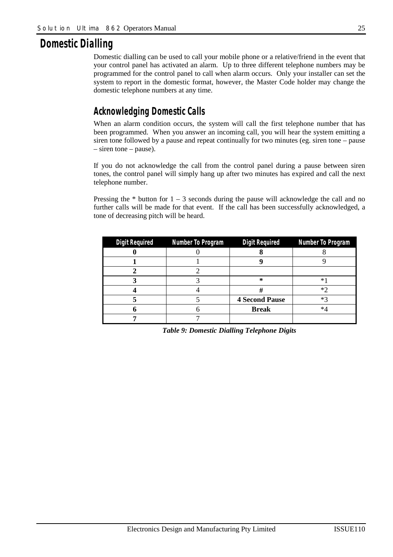## *Domestic Dialling*

Domestic dialling can be used to call your mobile phone or a relative/friend in the event that your control panel has activated an alarm. Up to three different telephone numbers may be programmed for the control panel to call when alarm occurs. Only your installer can set the system to report in the domestic format, however, the Master Code holder may change the domestic telephone numbers at any time.

## *Acknowledging Domestic Calls*

When an alarm condition occurs, the system will call the first telephone number that has been programmed. When you answer an incoming call, you will hear the system emitting a siren tone followed by a pause and repeat continually for two minutes (eg. siren tone – pause – siren tone – pause).

If you do not acknowledge the call from the control panel during a pause between siren tones, the control panel will simply hang up after two minutes has expired and call the next telephone number.

Pressing the  $*$  button for  $1 - 3$  seconds during the pause will acknowledge the call and no further calls will be made for that event. If the call has been successfully acknowledged, a tone of decreasing pitch will be heard.

| <b>Digit Required</b> | Number To Program | Digit Required        | Number To Program |
|-----------------------|-------------------|-----------------------|-------------------|
|                       |                   |                       |                   |
|                       |                   |                       |                   |
|                       |                   |                       |                   |
|                       |                   | $\ast$                | ∗                 |
|                       |                   | 77                    | ∗′                |
|                       |                   | <b>4 Second Pause</b> | ∗″                |
|                       |                   | <b>Break</b>          | ∗⊿                |
|                       |                   |                       |                   |

*Table 9: Domestic Dialling Telephone Digits*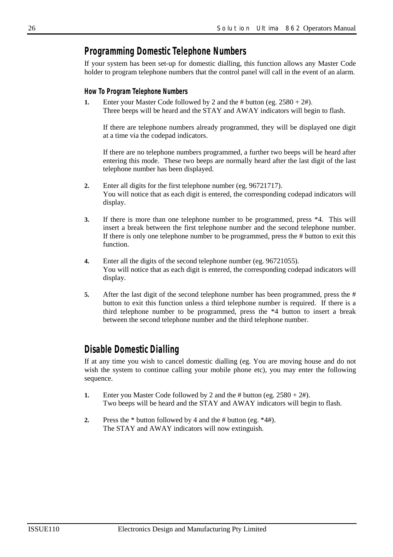## *Programming Domestic Telephone Numbers*

If your system has been set-up for domestic dialling, this function allows any Master Code holder to program telephone numbers that the control panel will call in the event of an alarm.

#### *How To Program Telephone Numbers*

**1.** Enter your Master Code followed by 2 and the # button (eg. 2580 + 2#). Three beeps will be heard and the STAY and AWAY indicators will begin to flash.

If there are telephone numbers already programmed, they will be displayed one digit at a time via the codepad indicators.

If there are no telephone numbers programmed, a further two beeps will be heard after entering this mode. These two beeps are normally heard after the last digit of the last telephone number has been displayed.

- **2.** Enter all digits for the first telephone number (eg. 96721717). You will notice that as each digit is entered, the corresponding codepad indicators will display.
- **3.** If there is more than one telephone number to be programmed, press \*4. This will insert a break between the first telephone number and the second telephone number. If there is only one telephone number to be programmed, press the # button to exit this function.
- **4.** Enter all the digits of the second telephone number (eg. 96721055). You will notice that as each digit is entered, the corresponding codepad indicators will display.
- **5.** After the last digit of the second telephone number has been programmed, press the # button to exit this function unless a third telephone number is required. If there is a third telephone number to be programmed, press the \*4 button to insert a break between the second telephone number and the third telephone number.

## *Disable Domestic Dialling*

If at any time you wish to cancel domestic dialling (eg. You are moving house and do not wish the system to continue calling your mobile phone etc), you may enter the following sequence.

- **1.** Enter you Master Code followed by 2 and the # button (eg. 2580 + 2#). Two beeps will be heard and the STAY and AWAY indicators will begin to flash.
- **2.** Press the \* button followed by 4 and the # button (eg. \*4#). The STAY and AWAY indicators will now extinguish.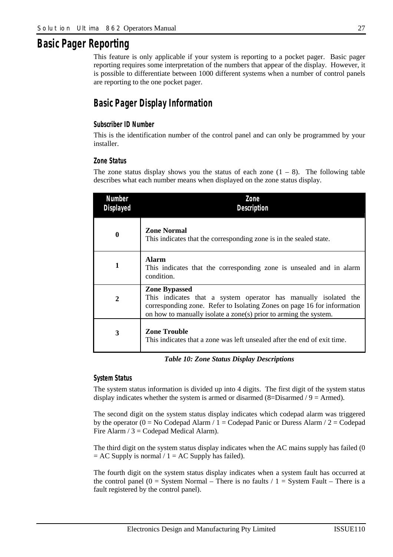## *Basic Pager Reporting*

This feature is only applicable if your system is reporting to a pocket pager. Basic pager reporting requires some interpretation of the numbers that appear of the display. However, it is possible to differentiate between 1000 different systems when a number of control panels are reporting to the one pocket pager.

## *Basic Pager Display Information*

## *Subscriber ID Number*

This is the identification number of the control panel and can only be programmed by your installer.

#### *Zone Status*

The zone status display shows you the status of each zone  $(1 - 8)$ . The following table describes what each number means when displayed on the zone status display.

| Number<br>Displayed | Zone<br><b>Description</b>                                                                                                                                                                                                             |
|---------------------|----------------------------------------------------------------------------------------------------------------------------------------------------------------------------------------------------------------------------------------|
| $\boldsymbol{0}$    | <b>Zone Normal</b><br>This indicates that the corresponding zone is in the sealed state.                                                                                                                                               |
| 1                   | Alarm<br>This indicates that the corresponding zone is unsealed and in alarm<br>condition.                                                                                                                                             |
| $\mathbf{2}$        | <b>Zone Bypassed</b><br>This indicates that a system operator has manually isolated the<br>corresponding zone. Refer to Isolating Zones on page 16 for information<br>on how to manually isolate a zone(s) prior to arming the system. |
| 3                   | <b>Zone Trouble</b><br>This indicates that a zone was left unsealed after the end of exit time.                                                                                                                                        |

*Table 10: Zone Status Display Descriptions* 

#### *System Status*

The system status information is divided up into 4 digits. The first digit of the system status display indicates whether the system is armed or disarmed  $(8=Disarmed / 9 = Armed)$ .

The second digit on the system status display indicates which codepad alarm was triggered by the operator ( $0 = No$  Codepad Alarm /  $1 =$  Codepad Panic or Duress Alarm /  $2 =$  Codepad Fire Alarm  $/ 3 =$  Codepad Medical Alarm).

The third digit on the system status display indicates when the AC mains supply has failed (0)  $= AC$  Supply is normal / 1 = AC Supply has failed).

The fourth digit on the system status display indicates when a system fault has occurred at the control panel (0 = System Normal – There is no faults  $/ 1 =$  System Fault – There is a fault registered by the control panel).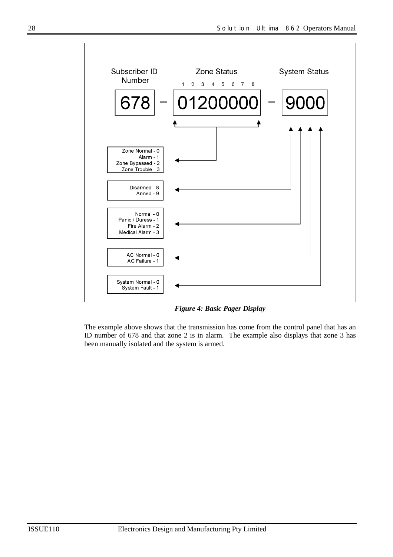

*Figure 4: Basic Pager Display* 

The example above shows that the transmission has come from the control panel that has an ID number of 678 and that zone 2 is in alarm. The example also displays that zone 3 has been manually isolated and the system is armed.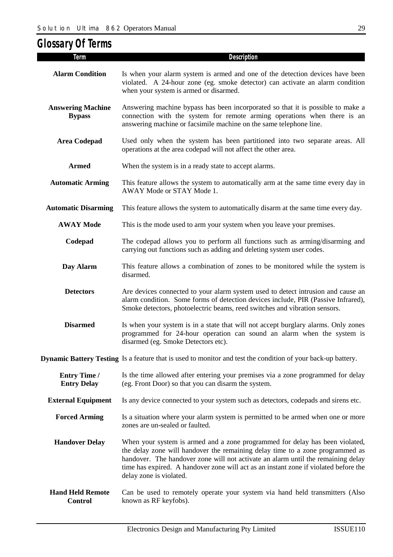| <b>Glossary Of Terms</b>                  |                                                                                                                                                                                                                                                                                                                                                                      |
|-------------------------------------------|----------------------------------------------------------------------------------------------------------------------------------------------------------------------------------------------------------------------------------------------------------------------------------------------------------------------------------------------------------------------|
| Term                                      | Description                                                                                                                                                                                                                                                                                                                                                          |
| <b>Alarm Condition</b>                    | Is when your alarm system is armed and one of the detection devices have been<br>violated. A 24-hour zone (eg. smoke detector) can activate an alarm condition<br>when your system is armed or disarmed.                                                                                                                                                             |
| <b>Answering Machine</b><br><b>Bypass</b> | Answering machine bypass has been incorporated so that it is possible to make a<br>connection with the system for remote arming operations when there is an<br>answering machine or facsimile machine on the same telephone line.                                                                                                                                    |
| <b>Area Codepad</b>                       | Used only when the system has been partitioned into two separate areas. All<br>operations at the area codepad will not affect the other area.                                                                                                                                                                                                                        |
| <b>Armed</b>                              | When the system is in a ready state to accept alarms.                                                                                                                                                                                                                                                                                                                |
| <b>Automatic Arming</b>                   | This feature allows the system to automatically arm at the same time every day in<br>AWAY Mode or STAY Mode 1.                                                                                                                                                                                                                                                       |
| <b>Automatic Disarming</b>                | This feature allows the system to automatically disarm at the same time every day.                                                                                                                                                                                                                                                                                   |
| <b>AWAY Mode</b>                          | This is the mode used to arm your system when you leave your premises.                                                                                                                                                                                                                                                                                               |
| Codepad                                   | The codepad allows you to perform all functions such as arming/disarming and<br>carrying out functions such as adding and deleting system user codes.                                                                                                                                                                                                                |
| Day Alarm                                 | This feature allows a combination of zones to be monitored while the system is<br>disarmed.                                                                                                                                                                                                                                                                          |
| <b>Detectors</b>                          | Are devices connected to your alarm system used to detect intrusion and cause an<br>alarm condition. Some forms of detection devices include, PIR (Passive Infrared),<br>Smoke detectors, photoelectric beams, reed switches and vibration sensors.                                                                                                                  |
| <b>Disarmed</b>                           | Is when your system is in a state that will not accept burglary alarms. Only zones<br>programmed for 24-hour operation can sound an alarm when the system is<br>disarmed (eg. Smoke Detectors etc).                                                                                                                                                                  |
|                                           | <b>Dynamic Battery Testing</b> Is a feature that is used to monitor and test the condition of your back-up battery.                                                                                                                                                                                                                                                  |
| <b>Entry Time /</b><br><b>Entry Delay</b> | Is the time allowed after entering your premises via a zone programmed for delay<br>(eg. Front Door) so that you can disarm the system.                                                                                                                                                                                                                              |
| <b>External Equipment</b>                 | Is any device connected to your system such as detectors, codepads and sirens etc.                                                                                                                                                                                                                                                                                   |
| <b>Forced Arming</b>                      | Is a situation where your alarm system is permitted to be armed when one or more<br>zones are un-sealed or faulted.                                                                                                                                                                                                                                                  |
| <b>Handover Delay</b>                     | When your system is armed and a zone programmed for delay has been violated,<br>the delay zone will handover the remaining delay time to a zone programmed as<br>handover. The handover zone will not activate an alarm until the remaining delay<br>time has expired. A handover zone will act as an instant zone if violated before the<br>delay zone is violated. |

**Hand Held Remote Control**  Can be used to remotely operate your system via hand held transmitters (Also known as RF keyfobs).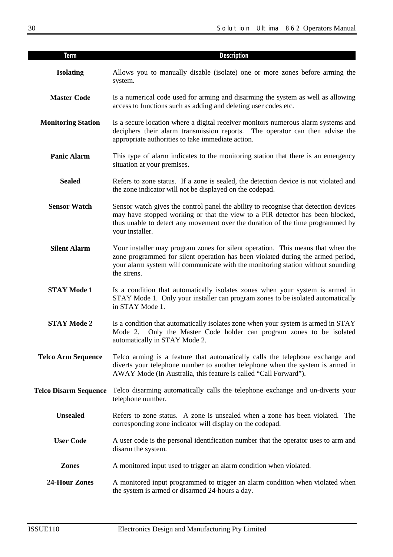| <b>Term</b>                  | Description                                                                                                                                                                                                                                                                |
|------------------------------|----------------------------------------------------------------------------------------------------------------------------------------------------------------------------------------------------------------------------------------------------------------------------|
| <b>Isolating</b>             | Allows you to manually disable (isolate) one or more zones before arming the<br>system.                                                                                                                                                                                    |
| <b>Master Code</b>           | Is a numerical code used for arming and disarming the system as well as allowing<br>access to functions such as adding and deleting user codes etc.                                                                                                                        |
| <b>Monitoring Station</b>    | Is a secure location where a digital receiver monitors numerous alarm systems and<br>deciphers their alarm transmission reports. The operator can then advise the<br>appropriate authorities to take immediate action.                                                     |
| <b>Panic Alarm</b>           | This type of alarm indicates to the monitoring station that there is an emergency<br>situation at your premises.                                                                                                                                                           |
| <b>Sealed</b>                | Refers to zone status. If a zone is sealed, the detection device is not violated and<br>the zone indicator will not be displayed on the codepad.                                                                                                                           |
| <b>Sensor Watch</b>          | Sensor watch gives the control panel the ability to recognise that detection devices<br>may have stopped working or that the view to a PIR detector has been blocked,<br>thus unable to detect any movement over the duration of the time programmed by<br>your installer. |
| <b>Silent Alarm</b>          | Your installer may program zones for silent operation. This means that when the<br>zone programmed for silent operation has been violated during the armed period,<br>your alarm system will communicate with the monitoring station without sounding<br>the sirens.       |
| <b>STAY Mode 1</b>           | Is a condition that automatically isolates zones when your system is armed in<br>STAY Mode 1. Only your installer can program zones to be isolated automatically<br>in STAY Mode 1.                                                                                        |
| <b>STAY Mode 2</b>           | Is a condition that automatically isolates zone when your system is armed in STAY<br>Only the Master Code holder can program zones to be isolated<br>Mode $2.$<br>automatically in STAY Mode 2.                                                                            |
| <b>Telco Arm Sequence</b>    | Telco arming is a feature that automatically calls the telephone exchange and<br>diverts your telephone number to another telephone when the system is armed in<br>AWAY Mode (In Australia, this feature is called "Call Forward").                                        |
| <b>Telco Disarm Sequence</b> | Telco disarming automatically calls the telephone exchange and un-diverts your<br>telephone number.                                                                                                                                                                        |
| <b>Unsealed</b>              | Refers to zone status. A zone is unsealed when a zone has been violated. The<br>corresponding zone indicator will display on the codepad.                                                                                                                                  |
| <b>User Code</b>             | A user code is the personal identification number that the operator uses to arm and<br>disarm the system.                                                                                                                                                                  |
| <b>Zones</b>                 | A monitored input used to trigger an alarm condition when violated.                                                                                                                                                                                                        |
| <b>24-Hour Zones</b>         | A monitored input programmed to trigger an alarm condition when violated when<br>the system is armed or disarmed 24-hours a day.                                                                                                                                           |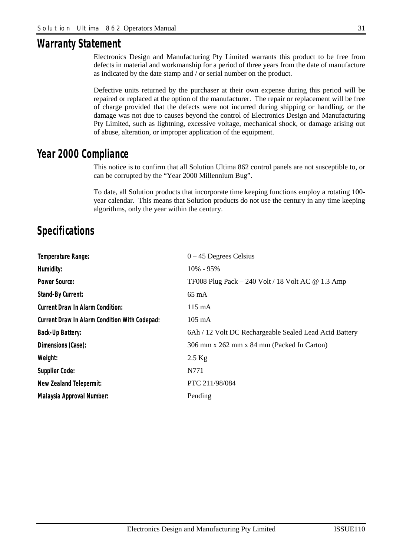## *Warranty Statement*

Electronics Design and Manufacturing Pty Limited warrants this product to be free from defects in material and workmanship for a period of three years from the date of manufacture as indicated by the date stamp and / or serial number on the product.

Defective units returned by the purchaser at their own expense during this period will be repaired or replaced at the option of the manufacturer. The repair or replacement will be free of charge provided that the defects were not incurred during shipping or handling, or the damage was not due to causes beyond the control of Electronics Design and Manufacturing Pty Limited, such as lightning, excessive voltage, mechanical shock, or damage arising out of abuse, alteration, or improper application of the equipment.

## *Year 2000 Compliance*

This notice is to confirm that all Solution Ultima 862 control panels are not susceptible to, or can be corrupted by the "Year 2000 Millennium Bug".

To date, all Solution products that incorporate time keeping functions employ a rotating 100 year calendar. This means that Solution products do not use the century in any time keeping algorithms, only the year within the century.

## *Specifications*

| Temperature Range:                            | $0 - 45$ Degrees Celsius                                   |
|-----------------------------------------------|------------------------------------------------------------|
| Humidity:                                     | 10% - 95%                                                  |
| Power Source:                                 | TF008 Plug Pack $-$ 240 Volt / 18 Volt AC $\omega$ 1.3 Amp |
| Stand-By Current:                             | $65 \text{ mA}$                                            |
| Current Draw In Alarm Condition:              | 115 mA                                                     |
| Current Draw In Alarm Condition With Codepad: | $105 \text{ mA}$                                           |
| <b>Back-Up Battery:</b>                       | 6Ah / 12 Volt DC Rechargeable Sealed Lead Acid Battery     |
| Dimensions (Case):                            | 306 mm x 262 mm x 84 mm (Packed In Carton)                 |
| Weight:                                       | $2.5$ Kg                                                   |
| Supplier Code:                                | N771                                                       |
| New Zealand Telepermit:                       | PTC 211/98/084                                             |
| Malaysia Approval Number:                     | Pending                                                    |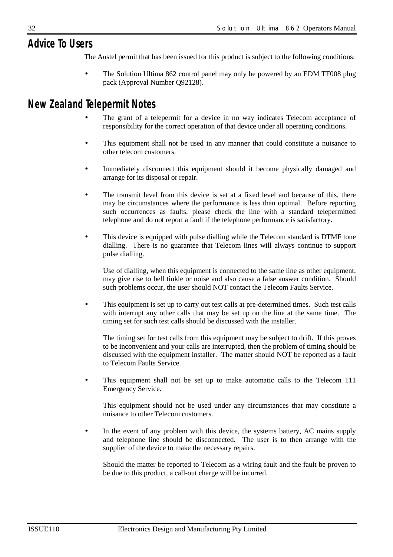## *Advice To Users*

The Austel permit that has been issued for this product is subject to the following conditions:

• The Solution Ultima 862 control panel may only be powered by an EDM TF008 plug pack (Approval Number Q92128).

## *New Zealand Telepermit Notes*

- The grant of a telepermit for a device in no way indicates Telecom acceptance of responsibility for the correct operation of that device under all operating conditions.
- This equipment shall not be used in any manner that could constitute a nuisance to other telecom customers.
- Immediately disconnect this equipment should it become physically damaged and arrange for its disposal or repair.
- The transmit level from this device is set at a fixed level and because of this, there may be circumstances where the performance is less than optimal. Before reporting such occurrences as faults, please check the line with a standard telepermitted telephone and do not report a fault if the telephone performance is satisfactory.
- This device is equipped with pulse dialling while the Telecom standard is DTMF tone dialling. There is no guarantee that Telecom lines will always continue to support pulse dialling.

Use of dialling, when this equipment is connected to the same line as other equipment, may give rise to bell tinkle or noise and also cause a false answer condition. Should such problems occur, the user should NOT contact the Telecom Faults Service.

This equipment is set up to carry out test calls at pre-determined times. Such test calls with interrupt any other calls that may be set up on the line at the same time. The timing set for such test calls should be discussed with the installer.

The timing set for test calls from this equipment may be subject to drift. If this proves to be inconvenient and your calls are interrupted, then the problem of timing should be discussed with the equipment installer. The matter should NOT be reported as a fault to Telecom Faults Service.

• This equipment shall not be set up to make automatic calls to the Telecom 111 Emergency Service.

This equipment should not be used under any circumstances that may constitute a nuisance to other Telecom customers.

In the event of any problem with this device, the systems battery, AC mains supply and telephone line should be disconnected. The user is to then arrange with the supplier of the device to make the necessary repairs.

Should the matter be reported to Telecom as a wiring fault and the fault be proven to be due to this product, a call-out charge will be incurred.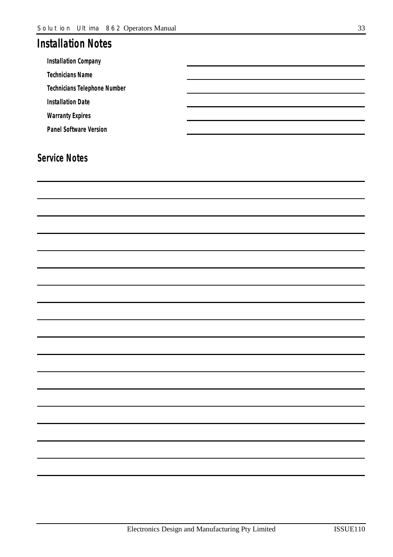## *Installation Notes*

*Installation Company* 

*Technicians Name* 

*Technicians Telephone Number* 

*Installation Date* 

*Warranty Expires* 

*Panel Software Version* 

## *Service Notes*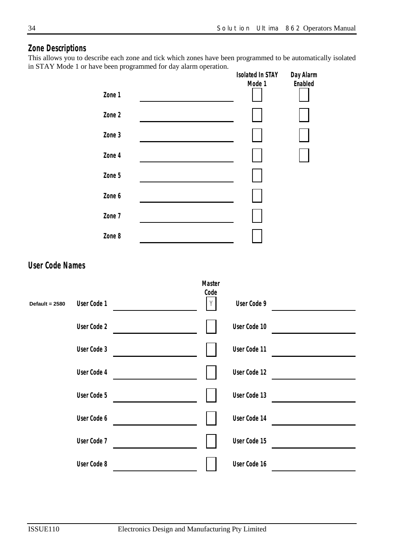## *Zone Descriptions*

This allows you to describe each zone and tick which zones have been programmed to be automatically isolated in STAY Mode 1 or have been programmed for day alarm operation.

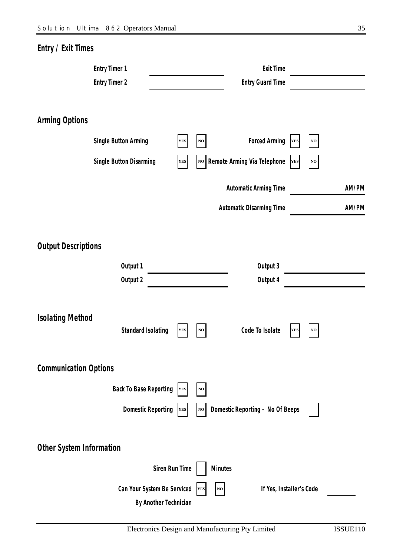| Entry / Exit Times           |                               |                |               |                |                                  |            |          |       |
|------------------------------|-------------------------------|----------------|---------------|----------------|----------------------------------|------------|----------|-------|
|                              | <b>Entry Timer 1</b>          |                |               |                | <b>Exit Time</b>                 |            |          |       |
|                              | <b>Entry Timer 2</b>          |                |               |                | <b>Entry Guard Time</b>          |            |          |       |
|                              |                               |                |               |                |                                  |            |          |       |
| <b>Arming Options</b>        |                               |                |               |                |                                  |            |          |       |
|                              | Single Button Arming          | <b>YES</b>     | NO            |                | Forced Arming                    | <b>YES</b> | NO       |       |
|                              |                               |                |               |                |                                  |            |          |       |
|                              | Single Button Disarming       | <b>YES</b>     | $\mathbf{NO}$ |                | Remote Arming Via Telephone      | <b>YES</b> | $\bf NO$ |       |
|                              |                               |                |               |                | Automatic Arming Time            |            |          | AM/PM |
|                              |                               |                |               |                | Automatic Disarming Time         |            |          | AM/PM |
|                              |                               |                |               |                |                                  |            |          |       |
| <b>Output Descriptions</b>   |                               |                |               |                |                                  |            |          |       |
|                              |                               |                |               |                |                                  |            |          |       |
|                              | Output 1<br>Output 2          |                |               |                | Output 3<br>Output 4             |            |          |       |
|                              |                               |                |               |                |                                  |            |          |       |
|                              |                               |                |               |                |                                  |            |          |       |
| <b>Isolating Method</b>      | Standard Isolating            | <b>YES</b>     | NO            |                | Code To Isolate                  | <b>YES</b> | NO       |       |
|                              |                               |                |               |                |                                  |            |          |       |
|                              |                               |                |               |                |                                  |            |          |       |
| <b>Communication Options</b> |                               |                |               |                |                                  |            |          |       |
|                              | <b>Back To Base Reporting</b> | <b>YES</b>     | $\bf NO$      |                |                                  |            |          |       |
|                              | <b>Domestic Reporting</b>     | YES            | NO            |                | Domestic Reporting - No Of Beeps |            |          |       |
|                              |                               |                |               |                |                                  |            |          |       |
| Other System Information     |                               |                |               |                |                                  |            |          |       |
|                              |                               | Siren Run Time |               | <b>Minutes</b> |                                  |            |          |       |
|                              | Can Your System Be Serviced   |                | YES           | $\bf NO$       | If Yes, Installer's Code         |            |          |       |
|                              | By Another Technician         |                |               |                |                                  |            |          |       |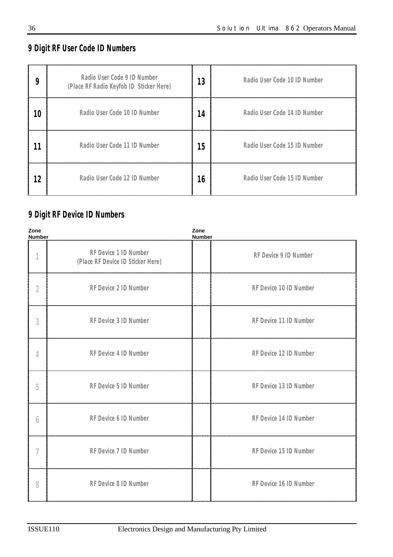## *9 Digit RF User Code ID Numbers*

| 9  | Radio User Code 9 ID Number<br>(Place RF Radio Keyfob ID Sticker Here) | 13 | Radio User Code 10 ID Number |
|----|------------------------------------------------------------------------|----|------------------------------|
| 10 | Radio User Code 10 ID Number                                           | 14 | Radio User Code 14 ID Number |
| 11 | Radio User Code 11 ID Number                                           | 15 | Radio User Code 15 ID Number |
| 12 | Radio User Code 12 ID Number                                           | 16 | Radio User Code 15 ID Number |

## *9 Digit RF Device ID Numbers*

| Zone<br><b>Number</b>              |                                                            | Zone<br><b>Number</b>  |
|------------------------------------|------------------------------------------------------------|------------------------|
| $\mathcal I$                       | RF Device 1 ID Number<br>(Place RF Device ID Sticker Here) | RF Device 9 ID Number  |
| 2                                  | RF Device 2 ID Number                                      | RF Device 10 ID Number |
| $\mathcal{S}% _{CS}^{(n)}(\theta)$ | RF Device 3 ID Number                                      | RF Device 11 ID Number |
| $\overline{4}$                     | RF Device 4 ID Number                                      | RF Device 12 ID Number |
| 5                                  | RF Device 5 ID Number                                      | RF Device 13 ID Number |
| 6                                  | RF Device 6 ID Number                                      | RF Device 14 ID Number |
| 7                                  | RF Device 7 ID Number                                      | RF Device 15 ID Number |
| 8                                  | RF Device 8 ID Number                                      | RF Device 16 ID Number |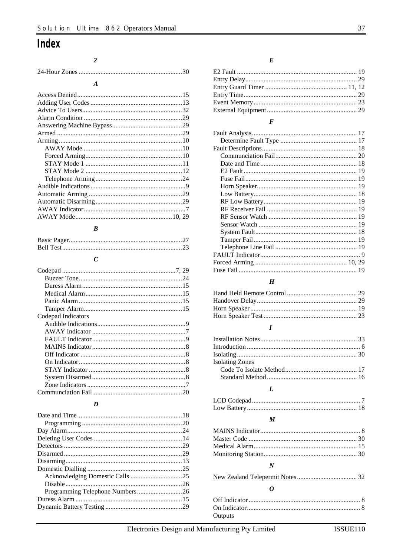## Index

#### $\overline{\mathbf{c}}$

| $\boldsymbol{A}$ |  |
|------------------|--|
|                  |  |
|                  |  |
|                  |  |
|                  |  |
|                  |  |
|                  |  |
|                  |  |
|                  |  |
|                  |  |
|                  |  |
|                  |  |
|                  |  |
|                  |  |
|                  |  |
|                  |  |
|                  |  |
|                  |  |

#### $\boldsymbol{B}$

## $\boldsymbol{C}$

| Codepad Indicators |  |
|--------------------|--|
|                    |  |
|                    |  |
|                    |  |
|                    |  |
|                    |  |
|                    |  |
|                    |  |
|                    |  |
|                    |  |
|                    |  |

## $\boldsymbol{D}$

#### $\boldsymbol{E}$

## $\boldsymbol{F}$

## $\boldsymbol{H}$

#### $\boldsymbol{I}$

| <b>Isolating Zones</b> |  |
|------------------------|--|
|                        |  |
|                        |  |

#### $\boldsymbol{L}$

#### $\boldsymbol{M}$

#### $\boldsymbol{N}$

#### $\boldsymbol{o}$

| Outputs |  |
|---------|--|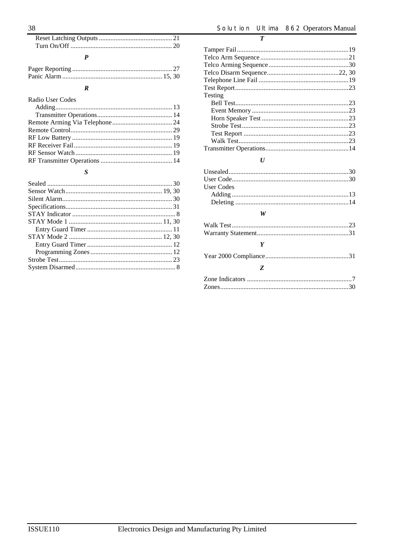$\overline{\boldsymbol{T}}$ 

#### $\boldsymbol{R}$

| Radio User Codes |  |
|------------------|--|
|                  |  |
|                  |  |
|                  |  |
|                  |  |
|                  |  |
|                  |  |
|                  |  |
|                  |  |
|                  |  |

## $\boldsymbol{S}$

| Testing |  |
|---------|--|
|         |  |
|         |  |
|         |  |
|         |  |
|         |  |
|         |  |
|         |  |

## $\boldsymbol{U}$

| User Codes |  |
|------------|--|
|            |  |
|            |  |
|            |  |

## $\boldsymbol{W}$

| $\boldsymbol{Y}$ |  |
|------------------|--|
|                  |  |
| <b>Z</b>         |  |
|                  |  |
|                  |  |